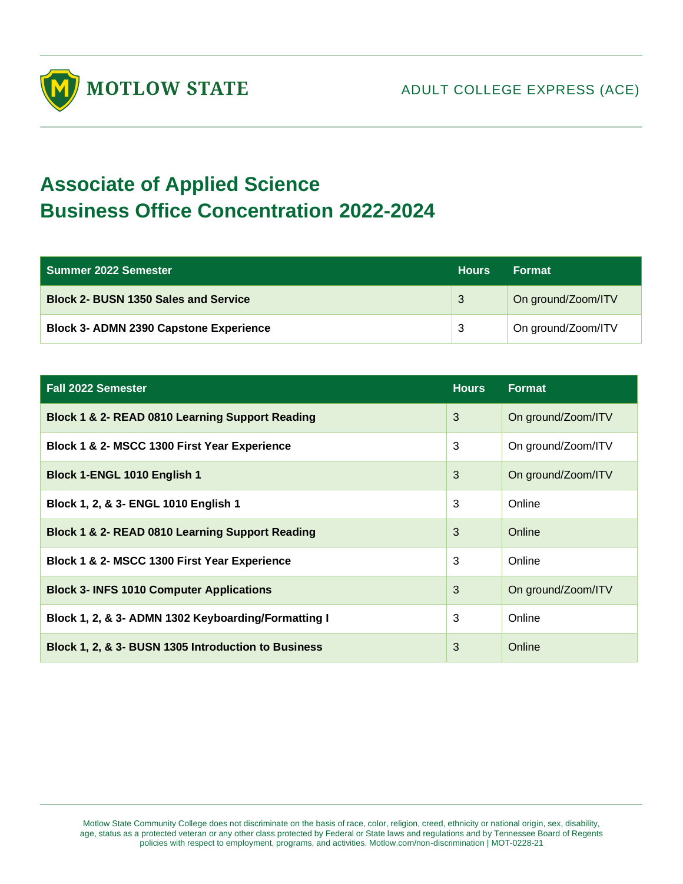

## **Associate of Applied Science Business Office Concentration 2022-2024**

| Summer 2022 Semester                          | <b>Hours</b> | <b>Format</b>      |
|-----------------------------------------------|--------------|--------------------|
| <b>Block 2- BUSN 1350 Sales and Service</b>   | 3            | On ground/Zoom/ITV |
| <b>Block 3- ADMN 2390 Capstone Experience</b> | -3           | On ground/Zoom/ITV |

| <b>Fall 2022 Semester</b>                           | <b>Hours</b> | Format             |
|-----------------------------------------------------|--------------|--------------------|
| Block 1 & 2- READ 0810 Learning Support Reading     | 3            | On ground/Zoom/ITV |
| Block 1 & 2- MSCC 1300 First Year Experience        | 3            | On ground/Zoom/ITV |
| Block 1-ENGL 1010 English 1                         | 3            | On ground/Zoom/ITV |
| Block 1, 2, & 3- ENGL 1010 English 1                | 3            | Online             |
| Block 1 & 2- READ 0810 Learning Support Reading     | 3            | Online             |
| Block 1 & 2- MSCC 1300 First Year Experience        | 3            | Online             |
| <b>Block 3- INFS 1010 Computer Applications</b>     | 3            | On ground/Zoom/ITV |
| Block 1, 2, & 3- ADMN 1302 Keyboarding/Formatting I | 3            | Online             |
| Block 1, 2, & 3- BUSN 1305 Introduction to Business | 3            | Online             |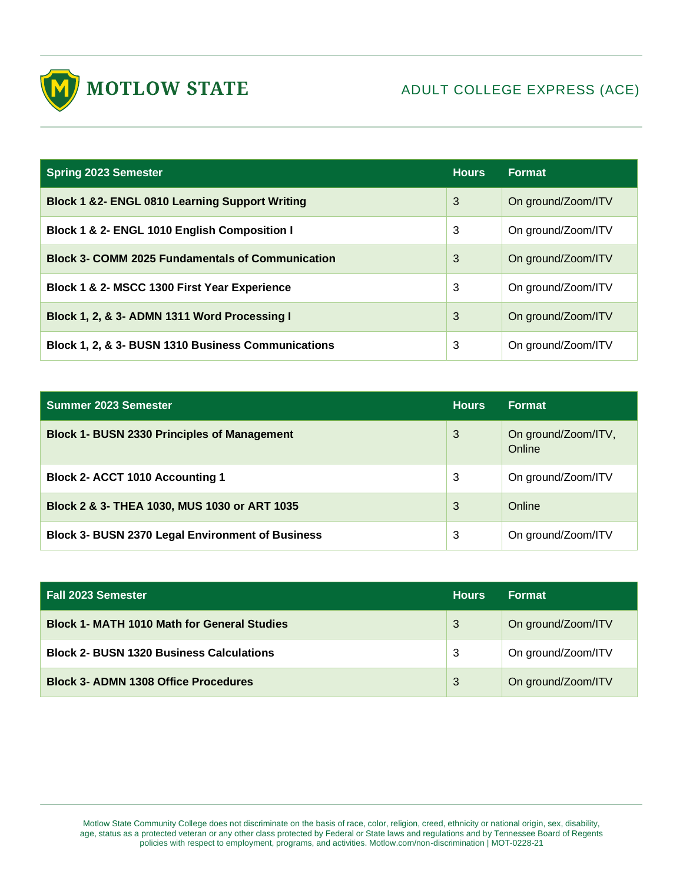

| <b>Spring 2023 Semester</b>                               | <b>Hours</b> | <b>Format</b>      |
|-----------------------------------------------------------|--------------|--------------------|
| <b>Block 1 &amp;2- ENGL 0810 Learning Support Writing</b> | 3            | On ground/Zoom/ITV |
| Block 1 & 2- ENGL 1010 English Composition I              | 3            | On ground/Zoom/ITV |
| <b>Block 3- COMM 2025 Fundamentals of Communication</b>   | 3            | On ground/Zoom/ITV |
| Block 1 & 2- MSCC 1300 First Year Experience              | 3            | On ground/Zoom/ITV |
| Block 1, 2, & 3- ADMN 1311 Word Processing I              | 3            | On ground/Zoom/ITV |
| Block 1, 2, & 3- BUSN 1310 Business Communications        | 3            | On ground/Zoom/ITV |

| <b>Summer 2023 Semester</b>                             | <b>Hours</b> | <b>Format</b>                 |
|---------------------------------------------------------|--------------|-------------------------------|
| <b>Block 1- BUSN 2330 Principles of Management</b>      | 3            | On ground/Zoom/ITV,<br>Online |
| <b>Block 2- ACCT 1010 Accounting 1</b>                  | 3            | On ground/Zoom/ITV            |
| Block 2 & 3- THEA 1030, MUS 1030 or ART 1035            | 3            | Online                        |
| <b>Block 3- BUSN 2370 Legal Environment of Business</b> | 3            | On ground/Zoom/ITV            |

| <b>Fall 2023 Semester</b>                          | <b>Hours</b> | <b>Format</b>      |
|----------------------------------------------------|--------------|--------------------|
| <b>Block 1- MATH 1010 Math for General Studies</b> | 3            | On ground/Zoom/ITV |
| <b>Block 2- BUSN 1320 Business Calculations</b>    | 3            | On ground/Zoom/ITV |
| <b>Block 3- ADMN 1308 Office Procedures</b>        | 3            | On ground/Zoom/ITV |

Motlow State Community College does not discriminate on the basis of race, color, religion, creed, ethnicity or national origin, sex, disability, age, status as a protected veteran or any other class protected by Federal or State laws and regulations and by Tennessee Board of Regents policies with respect to employment, programs, and activities. Motlow.com/non-discrimination | MOT-0228-21